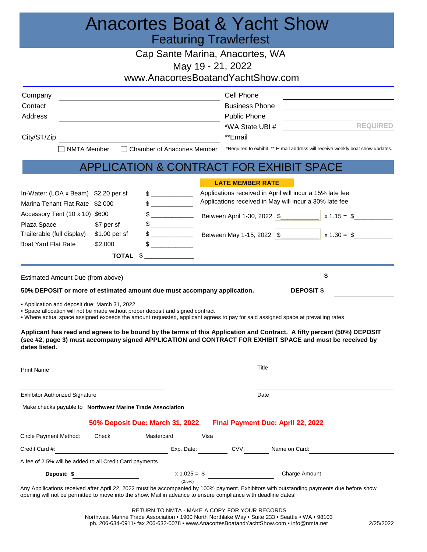## Anacortes Boat & Yacht Show Featuring Trawlerfest

Cap Sante Marina, Anacortes, WA

May 19 ‐ 21, 2022

www.AnacortesBoatandYachtShow.com

| Company                                                                                                                                                                                                           |               |                                          |      | Cell Phone                               |               |                                                                                                                                                                                                                                     |
|-------------------------------------------------------------------------------------------------------------------------------------------------------------------------------------------------------------------|---------------|------------------------------------------|------|------------------------------------------|---------------|-------------------------------------------------------------------------------------------------------------------------------------------------------------------------------------------------------------------------------------|
| Contact                                                                                                                                                                                                           |               |                                          |      | <b>Business Phone</b>                    |               | the contract of the contract of the contract of the contract of the contract of                                                                                                                                                     |
| Address                                                                                                                                                                                                           |               |                                          |      | <b>Public Phone</b>                      |               |                                                                                                                                                                                                                                     |
|                                                                                                                                                                                                                   |               |                                          |      | *WA State UBI #                          |               | <b>REQUIRED</b>                                                                                                                                                                                                                     |
| City/ST/Zip                                                                                                                                                                                                       |               | **Email                                  |      |                                          |               |                                                                                                                                                                                                                                     |
| <b>NMTA Member</b>                                                                                                                                                                                                |               | <b>Chamber of Anacortes Member</b>       |      |                                          |               | *Required to exhibit ** E-mail address will receive weekly boat show updates.                                                                                                                                                       |
|                                                                                                                                                                                                                   |               | APPLICATION & CONTRACT FOR EXHIBIT SPACE |      |                                          |               |                                                                                                                                                                                                                                     |
|                                                                                                                                                                                                                   |               |                                          |      | <b>LATE MEMBER RATE</b>                  |               |                                                                                                                                                                                                                                     |
| In-Water: (LOA x Beam) \$2.20 per sf                                                                                                                                                                              |               |                                          |      |                                          |               | Applications received in April will incur a 15% late fee                                                                                                                                                                            |
| Marina Tenant Flat Rate \$2,000                                                                                                                                                                                   |               | $\frac{1}{2}$                            |      |                                          |               | Applications received in May will incur a 30% late fee                                                                                                                                                                              |
| Accessory Tent (10 x 10) \$600                                                                                                                                                                                    |               |                                          |      | Between April 1-30, 2022 \$              |               | $x 1.15 = $$                                                                                                                                                                                                                        |
| Plaza Space                                                                                                                                                                                                       | \$7 per sf    |                                          |      |                                          |               |                                                                                                                                                                                                                                     |
| Trailerable (full display)                                                                                                                                                                                        | \$1.00 per sf | $\frac{1}{2}$                            |      | Between May 1-15, 2022 \$                |               | $x 1.30 = $$                                                                                                                                                                                                                        |
| <b>Boat Yard Flat Rate</b>                                                                                                                                                                                        | \$2,000       | $\mathbb S$                              |      |                                          |               |                                                                                                                                                                                                                                     |
|                                                                                                                                                                                                                   |               | TOTAL \$                                 |      |                                          |               |                                                                                                                                                                                                                                     |
| Estimated Amount Due (from above)                                                                                                                                                                                 |               |                                          |      |                                          |               | \$                                                                                                                                                                                                                                  |
| 50% DEPOSIT or more of estimated amount due must accompany application.                                                                                                                                           |               |                                          |      |                                          |               | <b>DEPOSIT \$</b>                                                                                                                                                                                                                   |
| • Application and deposit due: March 31, 2022                                                                                                                                                                     |               |                                          |      |                                          |               |                                                                                                                                                                                                                                     |
| • Space allocation will not be made without proper deposit and signed contract<br>• Where actual space assigned exceeds the amount requested, applicant agrees to pay for said assigned space at prevailing rates |               |                                          |      |                                          |               |                                                                                                                                                                                                                                     |
| dates listed.                                                                                                                                                                                                     |               |                                          |      |                                          |               | Applicant has read and agrees to be bound by the terms of this Application and Contract. A fifty percent (50%) DEPOSIT<br>(see #2, page 3) must accompany signed APPLICATION and CONTRACT FOR EXHIBIT SPACE and must be received by |
| <b>Print Name</b>                                                                                                                                                                                                 |               |                                          |      |                                          | Title         |                                                                                                                                                                                                                                     |
| <b>Exhibitor Authorized Signature</b>                                                                                                                                                                             |               |                                          |      |                                          | Date          |                                                                                                                                                                                                                                     |
|                                                                                                                                                                                                                   |               |                                          |      |                                          |               |                                                                                                                                                                                                                                     |
| Make checks payable to Northwest Marine Trade Association                                                                                                                                                         |               |                                          |      |                                          |               |                                                                                                                                                                                                                                     |
|                                                                                                                                                                                                                   |               | 50% Deposit Due: March 31, 2022          |      | <b>Final Payment Due: April 22, 2022</b> |               |                                                                                                                                                                                                                                     |
| Circle Payment Method:                                                                                                                                                                                            | Check         | Mastercard                               | Visa |                                          |               |                                                                                                                                                                                                                                     |
| Credit Card #:                                                                                                                                                                                                    |               | Exp. Date:                               |      | CVV:                                     | Name on Card: |                                                                                                                                                                                                                                     |
| A fee of 2.5% will be added to all Credit Card payments                                                                                                                                                           |               |                                          |      |                                          |               |                                                                                                                                                                                                                                     |
| Deposit: \$                                                                                                                                                                                                       |               | $x 1.025 = $$                            |      |                                          |               | Charge Amount                                                                                                                                                                                                                       |
| opening will not be permitted to move into the show. Mail in advance to ensure compliance with deadline dates!                                                                                                    |               | $(2.5\%)$                                |      |                                          |               | Any Appllications received after April 22, 2022 must be accompanied by 100% payment. Exhibitors with outstanding payments due before show                                                                                           |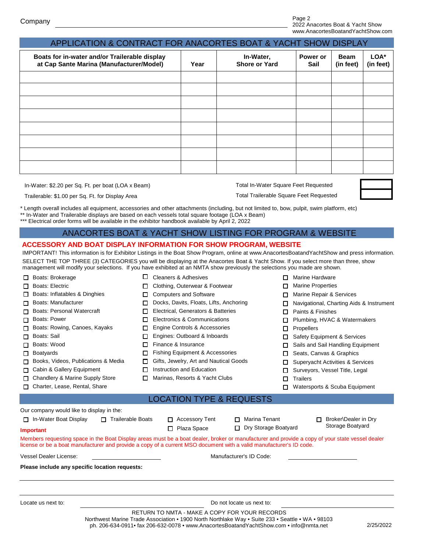| Boats for in-water and/or Trailerable display<br>at Cap Sante Marina (Manufacturer/Model) | Year | In-Water,<br><b>Shore or Yard</b> | Power or<br><b>Sail</b> | <b>Beam</b><br>(in feet) | LOA*<br>(in feet) |
|-------------------------------------------------------------------------------------------|------|-----------------------------------|-------------------------|--------------------------|-------------------|
|                                                                                           |      |                                   |                         |                          |                   |
|                                                                                           |      |                                   |                         |                          |                   |
|                                                                                           |      |                                   |                         |                          |                   |
|                                                                                           |      |                                   |                         |                          |                   |
|                                                                                           |      |                                   |                         |                          |                   |
|                                                                                           |      |                                   |                         |                          |                   |
|                                                                                           |      |                                   |                         |                          |                   |
|                                                                                           |      |                                   |                         |                          |                   |

In-Water: \$2.20 per Sq. Ft. per boat (LOA x Beam)

Total In-Water Square Feet Requested

Trailerable: \$1.00 per Sq. Ft. for Display Area

Total Trailerable Square Feet Requested

\* Length overall includes all equipment, accessories and other attachments (including, but not limited to, bow, pulpit, swim platform, etc)

\*\* In-Water and Trailerable displays are based on each vessels total square footage (LOA x Beam)

\*\*\* Electrical order forms will be available in the exhibitor handbook available by April 2, 2022

## ANACORTES BOAT & YACHT SHOW LISTING FOR PROGRAM & WEBSITE

## **ACCESSORY AND BOAT DISPLAY INFORMATION FOR SHOW PROGRAM, WEBSITE**

IMPORTANT! This information is for Exhibitor Listings in the Boat Show Program, online at www.AnacortesBoatandYachtShow and press information. SELECT THE TOP THREE (3) CATEGORIES you will be displaying at the Anacortes Boat & Yacht Show. If you select more than three, show management will modify your selections. If you have exhibited at an NMTA show previously the selections you made are shown.

| □<br>Boats: Brokerage                             |                         | <b>Cleaners &amp; Adhesives</b>                                                                                                                 |   | Marine Hardware                                  |  |  |  |
|---------------------------------------------------|-------------------------|-------------------------------------------------------------------------------------------------------------------------------------------------|---|--------------------------------------------------|--|--|--|
| Boats: Electric<br>l 1                            |                         | Clothing, Outerwear & Footwear                                                                                                                  |   | <b>Marine Properties</b><br>П                    |  |  |  |
| Boats: Inflatables & Dinghies<br>□                |                         | <b>Computers and Software</b>                                                                                                                   |   | Marine Repair & Services                         |  |  |  |
| Boats: Manufacturer<br>П                          |                         | Docks, Davits, Floats, Lifts, Anchoring                                                                                                         |   | Navigational, Charting Aids & Instrument         |  |  |  |
| <b>Boats: Personal Watercraft</b><br>П            |                         | Electrical, Generators & Batteries                                                                                                              |   | Paints & Finishes<br>П                           |  |  |  |
| Boats: Power<br>□<br>0                            |                         | Electronics & Communications                                                                                                                    | П | Plumbing, HVAC & Watermakers                     |  |  |  |
| Boats: Rowing, Canoes, Kayaks<br>п                |                         | Engine Controls & Accessories<br>□                                                                                                              |   | <b>Propellers</b><br>$\Box$                      |  |  |  |
| Boats: Sail<br>П                                  |                         | Engines: Outboard & Inboards<br>□                                                                                                               |   | Safety Equipment & Services                      |  |  |  |
| Boats: Wood<br>П                                  |                         | Finance & Insurance<br>П                                                                                                                        |   | Sails and Sail Handling Equipment<br>П           |  |  |  |
| <b>Boatyards</b><br>п                             |                         | Fishing Equipment & Accessories                                                                                                                 |   | Seats, Canvas & Graphics                         |  |  |  |
| Books, Videos, Publications & Media<br>П          |                         | Gifts, Jewelry, Art and Nautical Goods                                                                                                          |   | <b>Supervacht Activities &amp; Services</b><br>п |  |  |  |
| Cabin & Gallery Equipment<br>П.                   |                         | Instruction and Education                                                                                                                       |   | Surveyors, Vessel Title, Legal<br>□              |  |  |  |
| Chandlery & Marine Supply Store<br>$\Box$<br>П    |                         | Marinas, Resorts & Yacht Clubs                                                                                                                  |   | <b>Trailers</b><br>$\Box$                        |  |  |  |
| Charter, Lease, Rental, Share                     |                         |                                                                                                                                                 |   | Watersports & Scuba Equipment<br>П               |  |  |  |
|                                                   |                         | <b>LOCATION TYPE &amp; REQUESTS</b>                                                                                                             |   |                                                  |  |  |  |
| Our company would like to display in the:         |                         |                                                                                                                                                 |   |                                                  |  |  |  |
| In-Water Boat Display<br>$\Box$ Trailerable Boats |                         | Marina Tenant<br><b>Accessory Tent</b><br>п<br>n.                                                                                               |   | Broker\Dealer in Dry<br>П                        |  |  |  |
| <b>Important</b>                                  |                         | Dry Storage Boatyard<br>Plaza Space<br>$\Box$<br>П                                                                                              |   | Storage Boatyard                                 |  |  |  |
|                                                   |                         | Members requesting space in the Boat Display areas must be a boat dealer, broker or manufacturer and provide a copy of your state vessel dealer |   |                                                  |  |  |  |
|                                                   |                         | license or be a boat manufacturer and provide a copy of a current MSO document with a valid manufacturer's ID code.                             |   |                                                  |  |  |  |
| <b>Vessel Dealer License:</b>                     | Manufacturer's ID Code: |                                                                                                                                                 |   |                                                  |  |  |  |
| Please include any specific location requests:    |                         |                                                                                                                                                 |   |                                                  |  |  |  |
|                                                   |                         |                                                                                                                                                 |   |                                                  |  |  |  |
|                                                   |                         |                                                                                                                                                 |   |                                                  |  |  |  |
|                                                   |                         |                                                                                                                                                 |   |                                                  |  |  |  |

Locate us next to: Do not locate us next to: